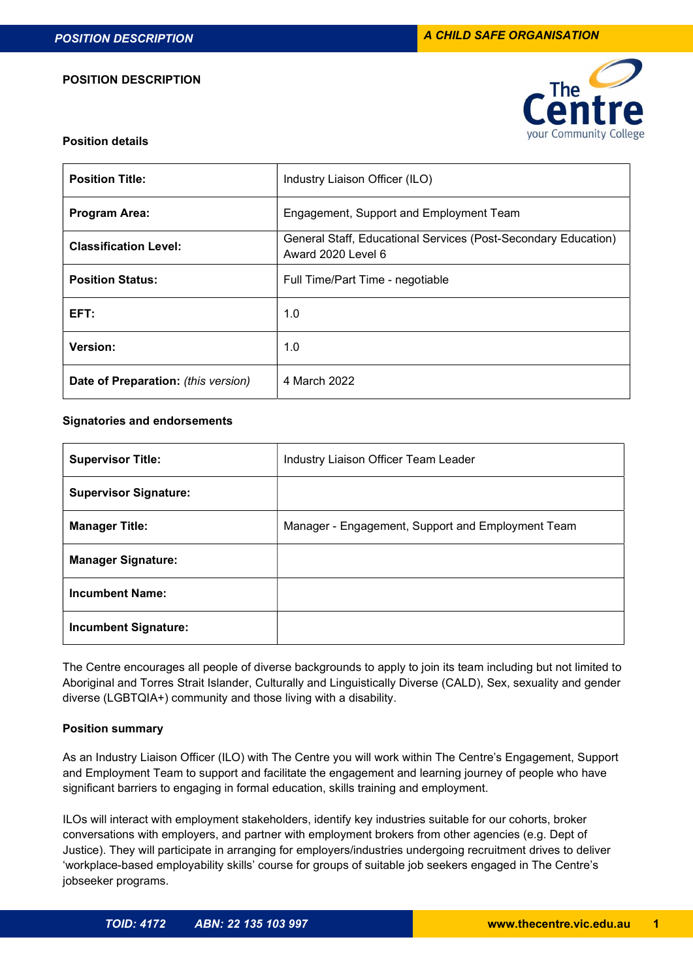#### POSITION DESCRIPTION



### Position details

| <b>Position Title:</b>              | Industry Liaison Officer (ILO)                                                       |
|-------------------------------------|--------------------------------------------------------------------------------------|
| <b>Program Area:</b>                | Engagement, Support and Employment Team                                              |
| <b>Classification Level:</b>        | General Staff, Educational Services (Post-Secondary Education)<br>Award 2020 Level 6 |
| <b>Position Status:</b>             | Full Time/Part Time - negotiable                                                     |
| EFT:                                | 1.0                                                                                  |
| Version:                            | 1.0                                                                                  |
| Date of Preparation: (this version) | 4 March 2022                                                                         |

#### Signatories and endorsements

| <b>Supervisor Title:</b>     | Industry Liaison Officer Team Leader              |
|------------------------------|---------------------------------------------------|
| <b>Supervisor Signature:</b> |                                                   |
| <b>Manager Title:</b>        | Manager - Engagement, Support and Employment Team |
| <b>Manager Signature:</b>    |                                                   |
| <b>Incumbent Name:</b>       |                                                   |
| <b>Incumbent Signature:</b>  |                                                   |

The Centre encourages all people of diverse backgrounds to apply to join its team including but not limited to Aboriginal and Torres Strait Islander, Culturally and Linguistically Diverse (CALD), Sex, sexuality and gender diverse (LGBTQIA+) community and those living with a disability.

# Position summary

As an Industry Liaison Officer (ILO) with The Centre you will work within The Centre's Engagement, Support and Employment Team to support and facilitate the engagement and learning journey of people who have significant barriers to engaging in formal education, skills training and employment.

ILOs will interact with employment stakeholders, identify key industries suitable for our cohorts, broker conversations with employers, and partner with employment brokers from other agencies (e.g. Dept of Justice). They will participate in arranging for employers/industries undergoing recruitment drives to deliver 'workplace-based employability skills' course for groups of suitable job seekers engaged in The Centre's jobseeker programs.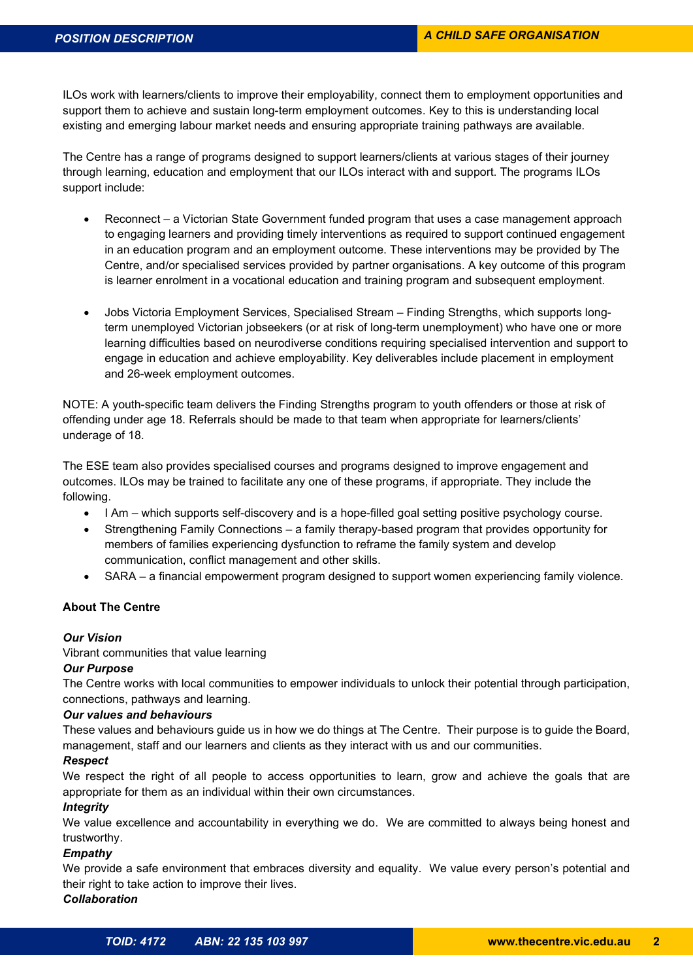ILOs work with learners/clients to improve their employability, connect them to employment opportunities and support them to achieve and sustain long-term employment outcomes. Key to this is understanding local existing and emerging labour market needs and ensuring appropriate training pathways are available.

The Centre has a range of programs designed to support learners/clients at various stages of their journey through learning, education and employment that our ILOs interact with and support. The programs ILOs support include:

- Reconnect a Victorian State Government funded program that uses a case management approach to engaging learners and providing timely interventions as required to support continued engagement in an education program and an employment outcome. These interventions may be provided by The Centre, and/or specialised services provided by partner organisations. A key outcome of this program is learner enrolment in a vocational education and training program and subsequent employment.
- Jobs Victoria Employment Services, Specialised Stream Finding Strengths, which supports longterm unemployed Victorian jobseekers (or at risk of long-term unemployment) who have one or more learning difficulties based on neurodiverse conditions requiring specialised intervention and support to engage in education and achieve employability. Key deliverables include placement in employment and 26-week employment outcomes.

NOTE: A youth-specific team delivers the Finding Strengths program to youth offenders or those at risk of offending under age 18. Referrals should be made to that team when appropriate for learners/clients' underage of 18.

The ESE team also provides specialised courses and programs designed to improve engagement and outcomes. ILOs may be trained to facilitate any one of these programs, if appropriate. They include the following.

- I Am which supports self-discovery and is a hope-filled goal setting positive psychology course.
- Strengthening Family Connections a family therapy-based program that provides opportunity for members of families experiencing dysfunction to reframe the family system and develop communication, conflict management and other skills.
- SARA a financial empowerment program designed to support women experiencing family violence.

# About The Centre

# Our Vision

Vibrant communities that value learning

# Our Purpose

The Centre works with local communities to empower individuals to unlock their potential through participation, connections, pathways and learning.

# Our values and behaviours

These values and behaviours guide us in how we do things at The Centre. Their purpose is to guide the Board, management, staff and our learners and clients as they interact with us and our communities.

# **Respect**

We respect the right of all people to access opportunities to learn, grow and achieve the goals that are appropriate for them as an individual within their own circumstances.

# **Integrity**

We value excellence and accountability in everything we do. We are committed to always being honest and trustworthy.

# Empathy

We provide a safe environment that embraces diversity and equality. We value every person's potential and their right to take action to improve their lives. **Collaboration**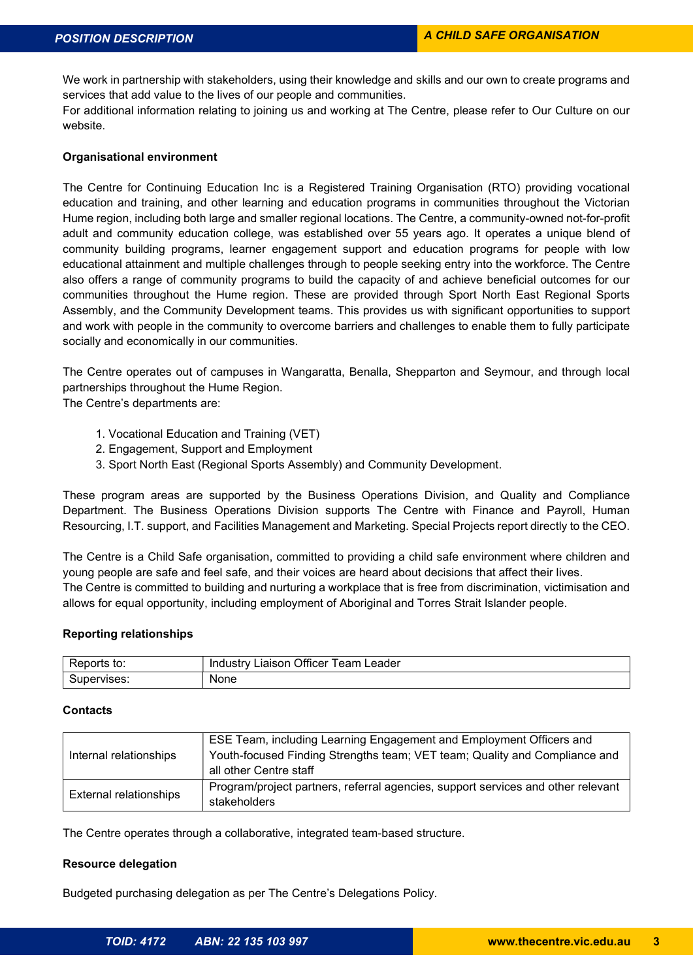We work in partnership with stakeholders, using their knowledge and skills and our own to create programs and services that add value to the lives of our people and communities.

For additional information relating to joining us and working at The Centre, please refer to Our Culture on our website.

### Organisational environment

The Centre for Continuing Education Inc is a Registered Training Organisation (RTO) providing vocational education and training, and other learning and education programs in communities throughout the Victorian Hume region, including both large and smaller regional locations. The Centre, a community-owned not-for-profit adult and community education college, was established over 55 years ago. It operates a unique blend of community building programs, learner engagement support and education programs for people with low educational attainment and multiple challenges through to people seeking entry into the workforce. The Centre also offers a range of community programs to build the capacity of and achieve beneficial outcomes for our communities throughout the Hume region. These are provided through Sport North East Regional Sports Assembly, and the Community Development teams. This provides us with significant opportunities to support and work with people in the community to overcome barriers and challenges to enable them to fully participate socially and economically in our communities.

The Centre operates out of campuses in Wangaratta, Benalla, Shepparton and Seymour, and through local partnerships throughout the Hume Region.

The Centre's departments are:

- 1. Vocational Education and Training (VET)
- 2. Engagement, Support and Employment
- 3. Sport North East (Regional Sports Assembly) and Community Development.

These program areas are supported by the Business Operations Division, and Quality and Compliance Department. The Business Operations Division supports The Centre with Finance and Payroll, Human Resourcing, I.T. support, and Facilities Management and Marketing. Special Projects report directly to the CEO.

The Centre is a Child Safe organisation, committed to providing a child safe environment where children and young people are safe and feel safe, and their voices are heard about decisions that affect their lives. The Centre is committed to building and nurturing a workplace that is free from discrimination, victimisation and allows for equal opportunity, including employment of Aboriginal and Torres Strait Islander people.

# Reporting relationships

| D <sub>or</sub><br>$^{\ast}$<br>Reports<br>w. | $\sim$ cc:<br>.eam<br>Officer<br>_eader<br>Industry<br>.iaison<br>' V |
|-----------------------------------------------|-----------------------------------------------------------------------|
| Supervises:                                   | None                                                                  |

# **Contacts**

| Internal relationships        | ESE Team, including Learning Engagement and Employment Officers and<br>Youth-focused Finding Strengths team; VET team; Quality and Compliance and<br>all other Centre staff |
|-------------------------------|-----------------------------------------------------------------------------------------------------------------------------------------------------------------------------|
| <b>External relationships</b> | Program/project partners, referral agencies, support services and other relevant<br>stakeholders                                                                            |

The Centre operates through a collaborative, integrated team-based structure.

#### Resource delegation

Budgeted purchasing delegation as per The Centre's Delegations Policy.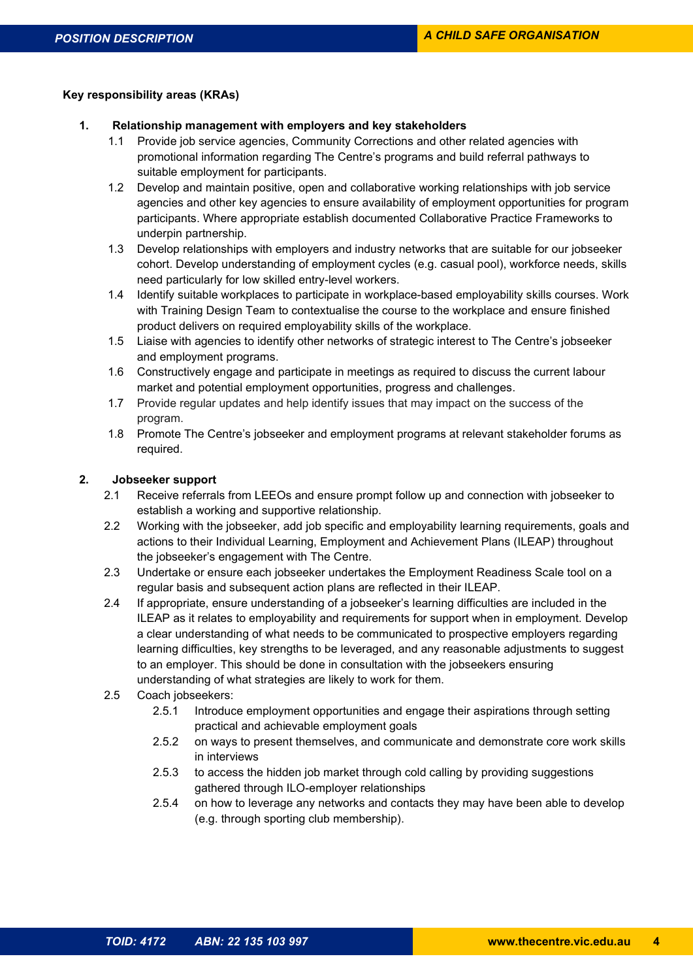# Key responsibility areas (KRAs)

- 1. Relationship management with employers and key stakeholders
	- Provide job service agencies, Community Corrections and other related agencies with promotional information regarding The Centre's programs and build referral pathways to suitable employment for participants.
	- 1.2 Develop and maintain positive, open and collaborative working relationships with job service agencies and other key agencies to ensure availability of employment opportunities for program participants. Where appropriate establish documented Collaborative Practice Frameworks to underpin partnership.
	- 1.3 Develop relationships with employers and industry networks that are suitable for our jobseeker cohort. Develop understanding of employment cycles (e.g. casual pool), workforce needs, skills need particularly for low skilled entry-level workers.
	- 1.4 Identify suitable workplaces to participate in workplace-based employability skills courses. Work with Training Design Team to contextualise the course to the workplace and ensure finished product delivers on required employability skills of the workplace.
	- 1.5 Liaise with agencies to identify other networks of strategic interest to The Centre's jobseeker and employment programs.
	- 1.6 Constructively engage and participate in meetings as required to discuss the current labour market and potential employment opportunities, progress and challenges.
	- 1.7 Provide regular updates and help identify issues that may impact on the success of the program.
	- 1.8 Promote The Centre's jobseeker and employment programs at relevant stakeholder forums as required.

# 2. Jobseeker support

- 2.1 Receive referrals from LEEOs and ensure prompt follow up and connection with jobseeker to establish a working and supportive relationship.
- 2.2 Working with the jobseeker, add job specific and employability learning requirements, goals and actions to their Individual Learning, Employment and Achievement Plans (ILEAP) throughout the jobseeker's engagement with The Centre.
- 2.3 Undertake or ensure each jobseeker undertakes the Employment Readiness Scale tool on a regular basis and subsequent action plans are reflected in their ILEAP.
- 2.4 If appropriate, ensure understanding of a jobseeker's learning difficulties are included in the ILEAP as it relates to employability and requirements for support when in employment. Develop a clear understanding of what needs to be communicated to prospective employers regarding learning difficulties, key strengths to be leveraged, and any reasonable adjustments to suggest to an employer. This should be done in consultation with the jobseekers ensuring understanding of what strategies are likely to work for them.
- 2.5 Coach jobseekers:
	- 2.5.1 Introduce employment opportunities and engage their aspirations through setting practical and achievable employment goals
	- 2.5.2 on ways to present themselves, and communicate and demonstrate core work skills in interviews
	- 2.5.3 to access the hidden job market through cold calling by providing suggestions gathered through ILO-employer relationships
	- 2.5.4 on how to leverage any networks and contacts they may have been able to develop (e.g. through sporting club membership).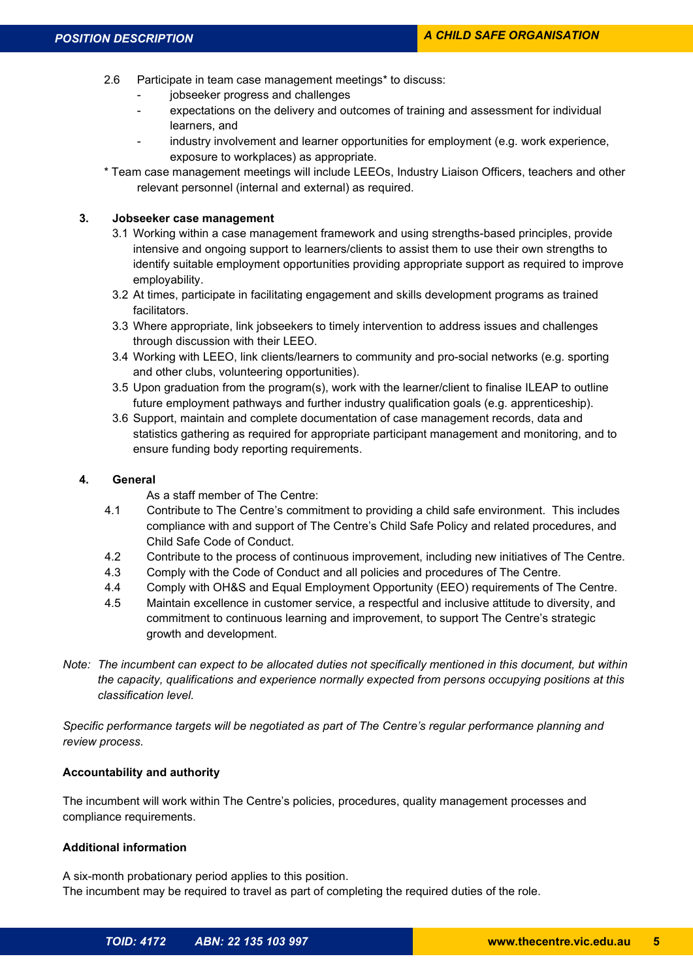- 2.6 Participate in team case management meetings\* to discuss:
	- jobseeker progress and challenges
	- expectations on the delivery and outcomes of training and assessment for individual learners, and
	- industry involvement and learner opportunities for employment (e.g. work experience, exposure to workplaces) as appropriate.
- \* Team case management meetings will include LEEOs, Industry Liaison Officers, teachers and other relevant personnel (internal and external) as required.

# 3. Jobseeker case management

- 3.1 Working within a case management framework and using strengths-based principles, provide intensive and ongoing support to learners/clients to assist them to use their own strengths to identify suitable employment opportunities providing appropriate support as required to improve employability.
- 3.2 At times, participate in facilitating engagement and skills development programs as trained facilitators.
- 3.3 Where appropriate, link jobseekers to timely intervention to address issues and challenges through discussion with their LEEO.
- 3.4 Working with LEEO, link clients/learners to community and pro-social networks (e.g. sporting and other clubs, volunteering opportunities).
- 3.5 Upon graduation from the program(s), work with the learner/client to finalise ILEAP to outline future employment pathways and further industry qualification goals (e.g. apprenticeship).
- 3.6 Support, maintain and complete documentation of case management records, data and statistics gathering as required for appropriate participant management and monitoring, and to ensure funding body reporting requirements.

# 4. General

As a staff member of The Centre:

- 4.1 Contribute to The Centre's commitment to providing a child safe environment. This includes compliance with and support of The Centre's Child Safe Policy and related procedures, and Child Safe Code of Conduct.
- 4.2 Contribute to the process of continuous improvement, including new initiatives of The Centre.
- 4.3 Comply with the Code of Conduct and all policies and procedures of The Centre.
- 4.4 Comply with OH&S and Equal Employment Opportunity (EEO) requirements of The Centre.
- 4.5 Maintain excellence in customer service, a respectful and inclusive attitude to diversity, and commitment to continuous learning and improvement, to support The Centre's strategic growth and development.
- Note: The incumbent can expect to be allocated duties not specifically mentioned in this document, but within the capacity, qualifications and experience normally expected from persons occupying positions at this classification level.

Specific performance targets will be negotiated as part of The Centre's regular performance planning and review process.

# Accountability and authority

The incumbent will work within The Centre's policies, procedures, quality management processes and compliance requirements.

# Additional information

A six-month probationary period applies to this position. The incumbent may be required to travel as part of completing the required duties of the role.